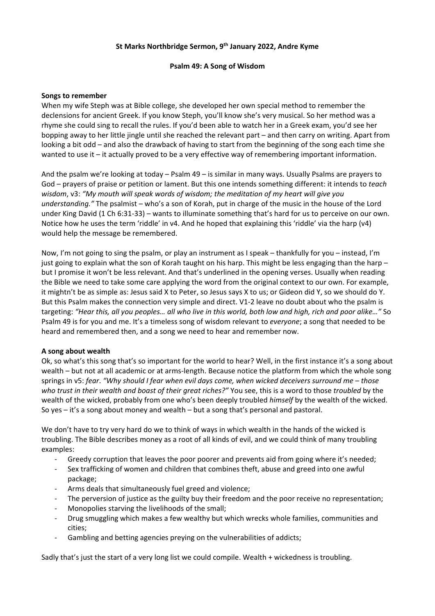# **St Marks Northbridge Sermon, 9th January 2022, Andre Kyme**

## **Psalm 49: A Song of Wisdom**

#### **Songs to remember**

When my wife Steph was at Bible college, she developed her own special method to remember the declensions for ancient Greek. If you know Steph, you'll know she's very musical. So her method was a rhyme she could sing to recall the rules. If you'd been able to watch her in a Greek exam, you'd see her bopping away to her little jingle until she reached the relevant part – and then carry on writing. Apart from looking a bit odd – and also the drawback of having to start from the beginning of the song each time she wanted to use it – it actually proved to be a very effective way of remembering important information.

And the psalm we're looking at today – Psalm 49 – is similar in many ways. Usually Psalms are prayers to God – prayers of praise or petition or lament. But this one intends something different: it intends to *teach wisdom*, v3: *"My mouth will speak words of wisdom; the meditation of my heart will give you understanding."* The psalmist – who's a son of Korah, put in charge of the music in the house of the Lord under King David (1 Ch 6:31-33) – wants to illuminate something that's hard for us to perceive on our own. Notice how he uses the term 'riddle' in v4. And he hoped that explaining this 'riddle' via the harp (v4) would help the message be remembered.

Now, I'm not going to sing the psalm, or play an instrument as I speak – thankfully for you – instead, I'm just going to explain what the son of Korah taught on his harp. This might be less engaging than the harp – but I promise it won't be less relevant. And that's underlined in the opening verses. Usually when reading the Bible we need to take some care applying the word from the original context to our own. For example, it mightn't be as simple as: Jesus said X to Peter, so Jesus says X to us; or Gideon did Y, so we should do Y. But this Psalm makes the connection very simple and direct. V1-2 leave no doubt about who the psalm is targeting: *"Hear this, all you peoples… all who live in this world, both low and high, rich and poor alike…"* So Psalm 49 is for you and me. It's a timeless song of wisdom relevant to *everyone*; a song that needed to be heard and remembered then, and a song we need to hear and remember now.

## **A song about wealth**

Ok, so what's this song that's so important for the world to hear? Well, in the first instance it's a song about wealth – but not at all academic or at arms-length. Because notice the platform from which the whole song springs in v5: *fear*. *"Why should I fear when evil days come, when wicked deceivers surround me – those who trust in their wealth and boast of their great riches?"* You see, this is a word to those *troubled* by the wealth of the wicked, probably from one who's been deeply troubled *himself* by the wealth of the wicked. So yes – it's a song about money and wealth – but a song that's personal and pastoral.

We don't have to try very hard do we to think of ways in which wealth in the hands of the wicked is troubling. The Bible describes money as a root of all kinds of evil, and we could think of many troubling examples:

- Greedy corruption that leaves the poor poorer and prevents aid from going where it's needed;
- Sex trafficking of women and children that combines theft, abuse and greed into one awful package;
- Arms deals that simultaneously fuel greed and violence;
- The perversion of justice as the guilty buy their freedom and the poor receive no representation;
- Monopolies starving the livelihoods of the small;
- Drug smuggling which makes a few wealthy but which wrecks whole families, communities and cities;
- Gambling and betting agencies preying on the vulnerabilities of addicts;

Sadly that's just the start of a very long list we could compile. Wealth + wickedness is troubling.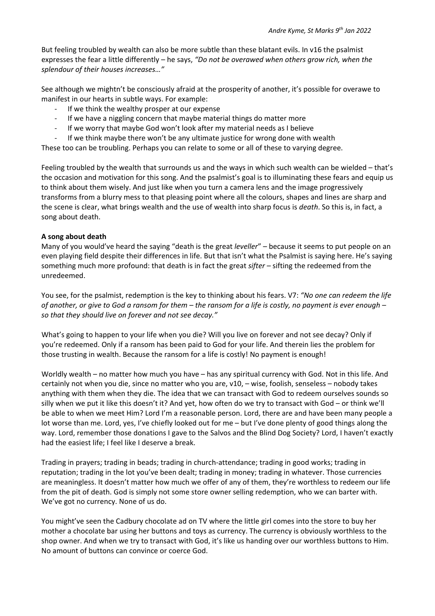But feeling troubled by wealth can also be more subtle than these blatant evils. In v16 the psalmist expresses the fear a little differently – he says, *"Do not be overawed when others grow rich, when the splendour of their houses increases…"*

See although we mightn't be consciously afraid at the prosperity of another, it's possible for overawe to manifest in our hearts in subtle ways. For example:

- If we think the wealthy prosper at our expense
- If we have a niggling concern that maybe material things do matter more
- If we worry that maybe God won't look after my material needs as I believe
- If we think maybe there won't be any ultimate justice for wrong done with wealth

These too can be troubling. Perhaps you can relate to some or all of these to varying degree.

Feeling troubled by the wealth that surrounds us and the ways in which such wealth can be wielded – that's the occasion and motivation for this song. And the psalmist's goal is to illuminating these fears and equip us to think about them wisely. And just like when you turn a camera lens and the image progressively transforms from a blurry mess to that pleasing point where all the colours, shapes and lines are sharp and the scene is clear, what brings wealth and the use of wealth into sharp focus is *death*. So this is, in fact, a song about death.

## **A song about death**

Many of you would've heard the saying "death is the great *leveller*" – because it seems to put people on an even playing field despite their differences in life. But that isn't what the Psalmist is saying here. He's saying something much more profound: that death is in fact the great *sifter* – sifting the redeemed from the unredeemed.

You see, for the psalmist, redemption is the key to thinking about his fears. V7: *"No one can redeem the life of another, or give to God a ransom for them – the ransom for a life is costly, no payment is ever enough – so that they should live on forever and not see decay."*

What's going to happen to your life when you die? Will you live on forever and not see decay? Only if you're redeemed. Only if a ransom has been paid to God for your life. And therein lies the problem for those trusting in wealth. Because the ransom for a life is costly! No payment is enough!

Worldly wealth – no matter how much you have – has any spiritual currency with God. Not in this life. And certainly not when you die, since no matter who you are, v10, – wise, foolish, senseless – nobody takes anything with them when they die. The idea that we can transact with God to redeem ourselves sounds so silly when we put it like this doesn't it? And yet, how often do we try to transact with God – or think we'll be able to when we meet Him? Lord I'm a reasonable person. Lord, there are and have been many people a lot worse than me. Lord, yes, I've chiefly looked out for me – but I've done plenty of good things along the way. Lord, remember those donations I gave to the Salvos and the Blind Dog Society? Lord, I haven't exactly had the easiest life; I feel like I deserve a break.

Trading in prayers; trading in beads; trading in church-attendance; trading in good works; trading in reputation; trading in the lot you've been dealt; trading in money; trading in whatever. Those currencies are meaningless. It doesn't matter how much we offer of any of them, they're worthless to redeem our life from the pit of death. God is simply not some store owner selling redemption, who we can barter with. We've got no currency. None of us do.

You might've seen the Cadbury chocolate ad on TV where the little girl comes into the store to buy her mother a chocolate bar using her buttons and toys as currency. The currency is obviously worthless to the shop owner. And when we try to transact with God, it's like us handing over our worthless buttons to Him. No amount of buttons can convince or coerce God.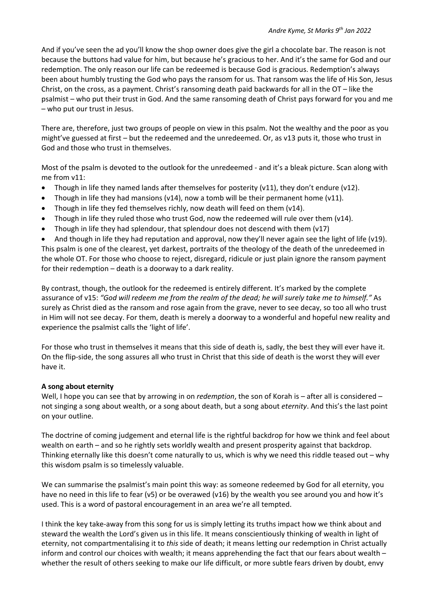And if you've seen the ad you'll know the shop owner does give the girl a chocolate bar. The reason is not because the buttons had value for him, but because he's gracious to her. And it's the same for God and our redemption. The only reason our life can be redeemed is because God is gracious. Redemption's always been about humbly trusting the God who pays the ransom for us. That ransom was the life of His Son, Jesus Christ, on the cross, as a payment. Christ's ransoming death paid backwards for all in the OT – like the psalmist – who put their trust in God. And the same ransoming death of Christ pays forward for you and me – who put our trust in Jesus.

There are, therefore, just two groups of people on view in this psalm. Not the wealthy and the poor as you might've guessed at first – but the redeemed and the unredeemed. Or, as v13 puts it, those who trust in God and those who trust in themselves.

Most of the psalm is devoted to the outlook for the unredeemed - and it's a bleak picture. Scan along with me from v11:

- Though in life they named lands after themselves for posterity (v11), they don't endure (v12).
- Though in life they had mansions (v14), now a tomb will be their permanent home (v11).
- Though in life they fed themselves richly, now death will feed on them (v14).
- Though in life they ruled those who trust God, now the redeemed will rule over them (v14).
- Though in life they had splendour, that splendour does not descend with them  $(v17)$

And though in life they had reputation and approval, now they'll never again see the light of life (v19). This psalm is one of the clearest, yet darkest, portraits of the theology of the death of the unredeemed in the whole OT. For those who choose to reject, disregard, ridicule or just plain ignore the ransom payment for their redemption – death is a doorway to a dark reality.

By contrast, though, the outlook for the redeemed is entirely different. It's marked by the complete assurance of v15: *"God will redeem me from the realm of the dead; he will surely take me to himself."* As surely as Christ died as the ransom and rose again from the grave, never to see decay, so too all who trust in Him will not see decay. For them, death is merely a doorway to a wonderful and hopeful new reality and experience the psalmist calls the 'light of life'.

For those who trust in themselves it means that this side of death is, sadly, the best they will ever have it. On the flip-side, the song assures all who trust in Christ that this side of death is the worst they will ever have it.

## **A song about eternity**

Well, I hope you can see that by arrowing in on *redemption*, the son of Korah is – after all is considered – not singing a song about wealth, or a song about death, but a song about *eternity*. And this's the last point on your outline.

The doctrine of coming judgement and eternal life is the rightful backdrop for how we think and feel about wealth on earth – and so he rightly sets worldly wealth and present prosperity against that backdrop. Thinking eternally like this doesn't come naturally to us, which is why we need this riddle teased out – why this wisdom psalm is so timelessly valuable.

We can summarise the psalmist's main point this way: as someone redeemed by God for all eternity, you have no need in this life to fear (v5) or be overawed (v16) by the wealth you see around you and how it's used. This is a word of pastoral encouragement in an area we're all tempted.

I think the key take-away from this song for us is simply letting its truths impact how we think about and steward the wealth the Lord's given us in this life. It means conscientiously thinking of wealth in light of eternity, not compartmentalising it to *this* side of death; it means letting our redemption in Christ actually inform and control our choices with wealth; it means apprehending the fact that our fears about wealth – whether the result of others seeking to make our life difficult, or more subtle fears driven by doubt, envy